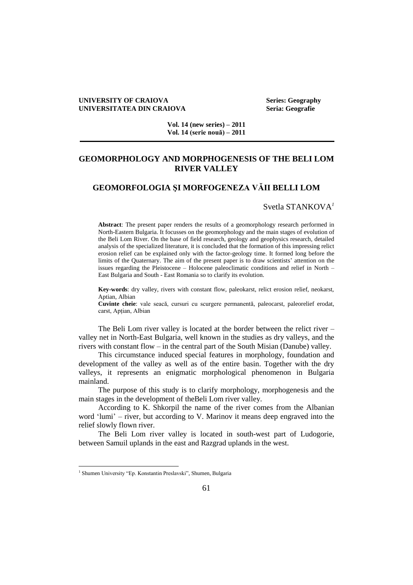#### **UNIVERSITY OF CRAIOVA Series: Geography UNIVERSITATEA DIN CRAIOVA Seria: Geografie**

**Vol. 14 (new series) – 2011 Vol. 14 (serie nouă) – 2011**

# **GEOMORPHOLOGY AND MORPHOGENESIS OF THE BELI LOM RIVER VALLEY**

## **GEOMORFOLOGIA ŞI MORFOGENEZA VĂII BELLI LOM**

Svetla STANKOVA*<sup>1</sup>*

**Abstract**: The present paper renders the results of a geomorphology research performed in North-Eastern Bulgaria. It focusses on the geomorphology and the main stages of evolution of the Beli Lom River. On the base of field research, geology and geophysics research, detailed analysis of the specialized literature, it is concluded that the formation of this impressing relict erosion relief can be explained only with the factor-geology time. It formed long before the limits of the Quaternary. The aim of the present paper is to draw scientists' attention on the issues regarding the Pleistocene – Holocene paleoclimatic conditions and relief in North – East Bulgaria and South - East Romania so to clarify its evolution.

**Key-words**: dry valley, rivers with constant flow, paleokarst, relict erosion relief, neokarst, Aptian, Albian

**Cuvinte cheie**: vale seacă, cursuri cu scurgere permanentă, paleocarst, paleorelief erodat, carst, Apțian, Albian

The Beli Lom river valley is located at the border between the relict river – valley net in North-East Bulgaria, well known in the studies as dry valleys, and the rivers with constant flow – in the central part of the South Misian (Danube) valley.

This circumstance induced special features in morphology, foundation and development of the valley as well as of the entire basin. Together with the dry valleys, it represents an enigmatic morphological phenomenon in Bulgaria mainland.

The purpose of this study is to clarify morphology, morphogenesis and the main stages in the development of theBeli Lom river valley.

According to K. Shkorpil the name of the river comes from the Albanian word 'lumi' – river, but according to V. Marinov it means deep engraved into the relief slowly flown river.

The Beli Lom river valley is located in south-west part of Ludogorie, between Samuil uplands in the east and Razgrad uplands in the west.

 $\overline{a}$ 

<sup>&</sup>lt;sup>1</sup> Shumen University "Ep. Konstantin Preslavski", Shumen, Bulgaria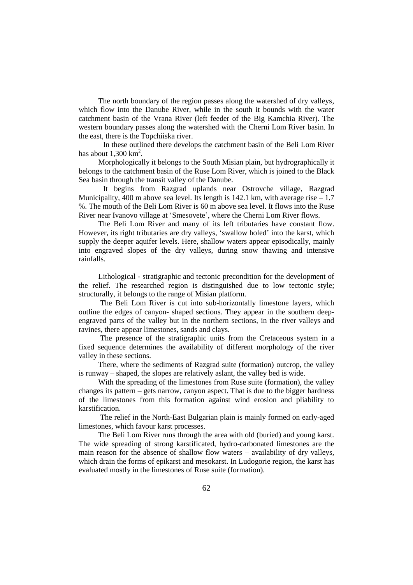The north boundary of the region passes along the watershed of dry valleys, which flow into the Danube River, while in the south it bounds with the water catchment basin of the Vrana River (left feeder of the Big Kamchia River). The western boundary passes along the watershed with the Cherni Lom River basin. In the east, there is the Topchiiska river.

 In these outlined there develops the catchment basin of the Beli Lom River has about  $1,300 \text{ km}^2$ .

Morphologically it belongs to the South Misian plain, but hydrographically it belongs to the catchment basin of the Ruse Lom River, which is joined to the Black Sea basin through the transit valley of the Danube.

It begins from Razgrad uplands near Ostrovche village, Razgrad Municipality, 400 m above sea level. Its length is 142.1 km, with average rise  $-1.7$ %. The mouth of the Beli Lom River is 60 m above sea level. It flows into the Ruse River near Ivanovo village at 'Smesovete', where the Cherni Lom River flows.

The Beli Lom River and many of its left tributaries have constant flow. However, its right tributaries are dry valleys, 'swallow holed' into the karst, which supply the deeper aquifer levels. Here, shallow waters appear episodically, mainly into engraved slopes of the dry valleys, during snow thawing and intensive rainfalls.

Lithological - stratigraphic and tectonic precondition for the development of the relief. The researched region is distinguished due to low tectonic style; structurally, it belongs to the range of Misian platform.

The Beli Lom River is cut into sub-horizontally limestone layers, which outline the edges of canyon- shaped sections. They appear in the southern deepengraved parts of the valley but in the northern sections, in the river valleys and ravines, there appear limestones, sands and clays.

The presence of the stratigraphic units from the Cretaceous system in a fixed sequence determines the availability of different morphology of the river valley in these sections.

There, where the sediments of Razgrad suite (formation) outcrop, the valley is runway – shaped, the slopes are relatively aslant, the valley bed is wide.

With the spreading of the limestones from Ruse suite (formation), the valley changes its pattern – gets narrow, canyon aspect. That is due to the bigger hardness of the limestones from this formation against wind erosion and pliability to karstification.

The relief in the North-East Bulgarian plain is mainly formed on early-aged limestones, which favour karst processes.

The Beli Lom River runs through the area with old (buried) and young karst. The wide spreading of strong karstificated, hydro-carbonated limestones are the main reason for the absence of shallow flow waters – availability of dry valleys, which drain the forms of epikarst and mesokarst. In Ludogorie region, the karst has evaluated mostly in the limestones of Ruse suite (formation).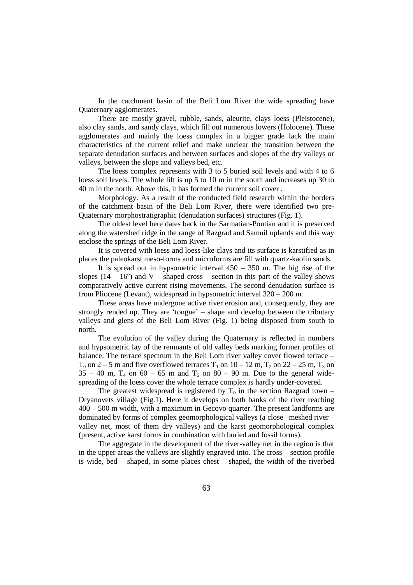In the catchment basin of the Beli Lom River the wide spreading have Quaternary agglomerates.

There are mostly gravel, rubble, sands, aleurite, clays loess (Pleistocene), also clay sands, and sandy clays, which fill out numerous lowers (Holocene). These agglomerates and mainly the loess complex in a bigger grade lack the main characteristics of the current relief and make unclear the transition between the separate denudation surfaces and between surfaces and slopes of the dry valleys or valleys, between the slope and valleys bed, etc.

The loess complex represents with 3 to 5 buried soil levels and with 4 to 6 loess soil levels. The whole lift is up 5 to 10 m in the south and increases up 30 to 40 m in the north. Above this, it has formed the current soil cover .

Morphology. As a result of the conducted field research within the borders of the catchment basin of the Beli Lom River, there were identified two pre-Quaternary morphostratigraphic (denudation surfaces) structures (Fig. 1).

The oldest level here dates back in the Sarmatian-Pontian and it is preserved along the watershed ridge in the range of Razgrad and Samuil uplands and this way enclose the springs of the Beli Lom River.

It is covered with loess and loess-like clays and its surface is karstified as in places the paleokarst meso-forms and microforms are fill with quartz-kaolin sands.

It is spread out in hypsometric interval  $450 - 350$  m. The big rise of the slopes  $(14 - 16^{\circ})$  and V – shaped cross – section in this part of the valley shows comparatively active current rising movements. The second denudation surface is from Pliocene (Levant), widespread in hypsometric interval 320 – 200 m.

These areas have undergone active river erosion and, consequently, they are strongly rended up. They are 'tongue' – shape and develop between the tributary valleys and glens of the Beli Lom River (Fig. 1) being disposed from south to north.

The evolution of the valley during the Quaternary is reflected in numbers and hypsometric lay of the remnants of old valley beds marking former profiles of balance. The terrace spectrum in the Beli Lom river valley cover flowed terrace –  $T_0$  on 2 – 5 m and five overflowed terraces  $T_1$  on 10 – 12 m,  $T_2$  on 22 – 25 m,  $T_3$  on  $35 - 40$  m,  $T_4$  on  $60 - 65$  m and  $T_5$  on  $80 - 90$  m. Due to the general widespreading of the loess cover the whole terrace complex is hardly under-covered.

The greatest widespread is registered by  $T_0$  in the section Razgrad town – Dryanovets village (Fig.1). Here it develops on both banks of the river reaching 400 – 500 m width, with a maximum in Gecovo quarter. The present landforms are dominated by forms of complex geomorphological valleys (a close –meshed river – valley net, most of them dry valleys) and the karst geomorphological complex (present, active karst forms in combination with buried and fossil forms).

The aggregate in the development of the river-valley net in the region is that in the upper areas the valleys are slightly engraved into. The cross – section profile is wide, bed – shaped, in some places chest – shaped, the width of the riverbed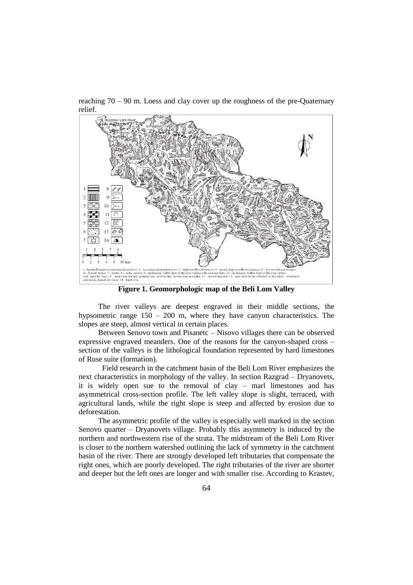reaching 70 – 90 m. Loess and clay cover up the roughness of the pre-Quaternary relief.



**Figure 1. Geomorphologic map of the Beli Lom Valley**

The river valleys are deepest engraved in their middle sections, the hypsometric range 150 – 200 m, where they have canyon characteristics. The slopes are steep, almost vertical in certain places.

Between Senovo town and Pisanetc – Nisovo villages there can be observed expressive engraved meanders. One of the reasons for the canyon-shaped cross – section of the valleys is the lithological foundation represented by hard limestones of Ruse suite (formation).

 Field research in the catchment basin of the Beli Lom River emphasizes the next characteristics in morphology of the valley. In section Razgrad – Dryanovets, it is widely open sue to the removal of clay – marl limestones and has asymmetrical cross-section profile. The left valley slope is slight, terraced, with agricultural lands, while the right slope is steep and affected by erosion due to deforestation.

The asymmetric profile of the valley is especially well marked in the section Senovo quarter – Dryanovets village. Probably this asymmetry is induced by the northern and northwestern rise of the strata. The midstream of the Beli Lom River is closer to the northern watershed outlining the lack of symmetry in the catchment basin of the river. There are strongly developed left tributaries that compensate the right ones, which are poorly developed. The right tributaries of the river are shorter and deeper but the left ones are longer and with smaller rise. According to Krastev,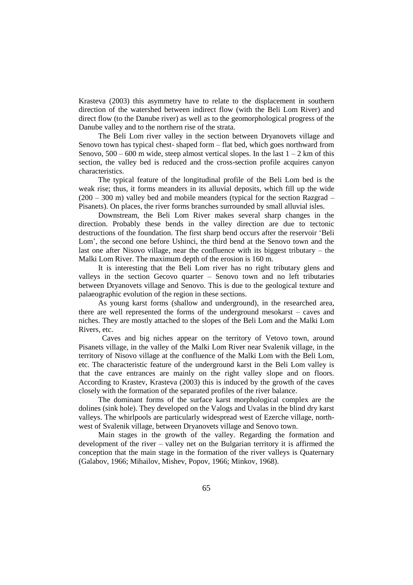Krasteva (2003) this asymmetry have to relate to the displacement in southern direction of the watershed between indirect flow (with the Beli Lom River) and direct flow (to the Danube river) as well as to the geomorphological progress of the Danube valley and to the northern rise of the strata.

The Beli Lom river valley in the section between Dryanovets village and Senovo town has typical chest- shaped form – flat bed, which goes northward from Senovo,  $500 - 600$  m wide, steep almost vertical slopes. In the last  $1 - 2$  km of this section, the valley bed is reduced and the cross-section profile acquires canyon characteristics.

The typical feature of the longitudinal profile of the Beli Lom bed is the weak rise; thus, it forms meanders in its alluvial deposits, which fill up the wide (200 – 300 m) valley bed and mobile meanders (typical for the section Razgrad – Pisanets). On places, the river forms branches surrounded by small alluvial isles.

Downstream, the Beli Lom River makes several sharp changes in the direction. Probably these bends in the valley direction are due to tectonic destructions of the foundation. The first sharp bend occurs after the reservoir 'Beli Lom', the second one before Ushinci, the third bend at the Senovo town and the last one after Nisovo village, near the confluence with its biggest tributary – the Malki Lom River. The maximum depth of the erosion is 160 m.

It is interesting that the Beli Lom river has no right tributary glens and valleys in the section Gecovo quarter – Senovo town and no left tributaries between Dryanovets village and Senovo. This is due to the geological texture and palaeographic evolution of the region in these sections.

As young karst forms (shallow and underground), in the researched area, there are well represented the forms of the underground mesokarst – caves and niches. They are mostly attached to the slopes of the Beli Lom and the Malki Lom Rivers, etc.

 Caves and big niches appear on the territory of Vetovo town, around Pisanets village, in the valley of the Malki Lom River near Svalenik village, in the territory of Nisovo village at the confluence of the Malki Lom with the Beli Lom, etc. The characteristic feature of the underground karst in the Beli Lom valley is that the cave entrances are mainly on the right valley slope and on floors. According to Krastev, Krasteva (2003) this is induced by the growth of the caves closely with the formation of the separated profiles of the river balance.

The dominant forms of the surface karst morphological complex are the dolines (sink hole). They developed on the Valogs and Uvalas in the blind dry karst valleys. The whirlpools are particularly widespread west of Ezerche village, northwest of Svalenik village, between Dryanovets village and Senovo town.

Main stages in the growth of the valley. Regarding the formation and development of the river – valley net on the Bulgarian territory it is affirmed the conception that the main stage in the formation of the river valleys is Quaternary (Galabov, 1966; Mihailov, Mishev, Popov, 1966; Minkov, 1968).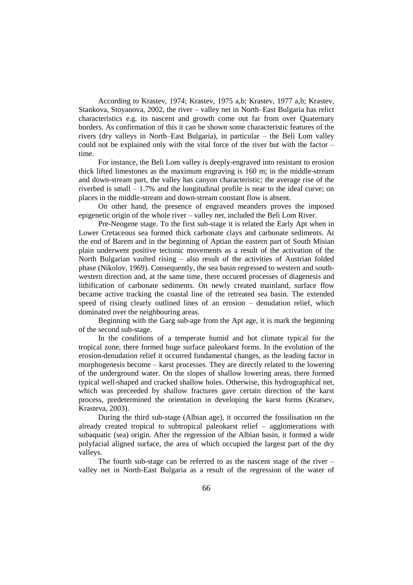According to Krastev, 1974; Krastev, 1975 a,b; Krastev, 1977 a,b; Krastev, Stankova, Stoyanova, 2002, the river – valley net in North–East Bulgaria has relict characteristics e.g. its nascent and growth come out far from over Quaternary borders. As confirmation of this it can be shown some characteristic features of the rivers (dry valleys in North–East Bulgaria), in particular – the Beli Lom valley could not be explained only with the vital force of the river but with the factor – time.

For instance, the Beli Lom valley is deeply-engraved into resistant to erosion thick lifted limestones as the maximum engraving is 160 m; in the middle-stream and down-stream part, the valley has canyon characteristic; the average rise of the riverbed is small – 1.7% and the longitudinal profile is near to the ideal curve; on places in the middle-stream and down-stream constant flow is absent.

On other hand, the presence of engraved meanders proves the imposed epigenetic origin of the whole river – valley net, included the Beli Lom River.

Pre-Neogene stage. To the first sub-stage it is related the Early Apt when in Lower Cretaceous sea formed thick carbonate clays and carbonate sediments. At the end of Barem and in the beginning of Aptian the eastern part of South Misian plain underwent positive tectonic movements as a result of the activation of the North Bulgarian vaulted rising – also result of the activities of Austrian folded phase (Nikolov, 1969). Consequently, the sea basin regressed to western and southwestern direction and, at the same time, there occured processes of diagenesis and lithification of carbonate sediments. On newly created mainland, surface flow became active tracking the coastal line of the retreated sea basin. The extended speed of rising clearly outlined lines of an erosion – denudation relief, which dominated over the neighbouring areas.

Beginning with the Garg sub-age from the Apt age, it is mark the beginning of the second sub-stage.

In the conditions of a temperate humid and hot climate typical for the tropical zone, there formed huge surface paleokarst forms. In the evolution of the erosion-denudation relief it occurred fundamental changes, as the leading factor in morphogenesis become – karst processes. They are directly related to the lowering of the underground water. On the slopes of shallow lowering areas, there formed typical well-shaped and cracked shallow holes. Otherwise, this hydrographical net, which was preceeded by shallow fractures gave certain direction of the karst process, predetermined the orientation in developing the karst forms (Kratsev, Krasteva, 2003).

During the third sub-stage (Albian age), it occurred the fossilisation on the already created tropical to subtropical paleokarst relief – agglomerations with subaquatic (sea) origin. After the regression of the Albian basin, it formed a wide polyfacial aligned surface, the area of which occupied the largest part of the dry valleys.

The fourth sub-stage can be referred to as the nascent stage of the river – valley net in North-East Bulgaria as a result of the regression of the water of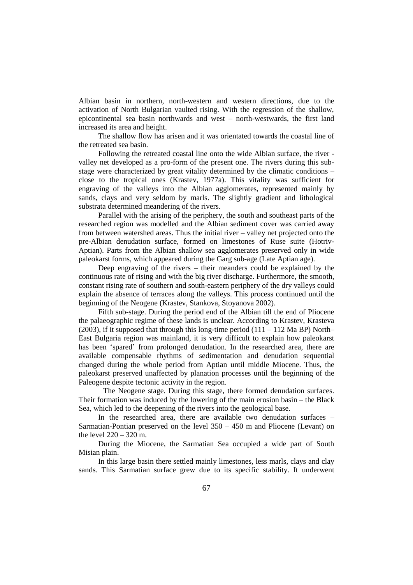Albian basin in northern, north-western and western directions, due to the activation of North Bulgarian vaulted rising. With the regression of the shallow, epicontinental sea basin northwards and west – north-westwards, the first land increased its area and height.

The shallow flow has arisen and it was orientated towards the coastal line of the retreated sea basin.

Following the retreated coastal line onto the wide Albian surface, the river valley net developed as a pro-form of the present one. The rivers during this substage were characterized by great vitality determined by the climatic conditions – close to the tropical ones (Krastev, 1977a). This vitality was sufficient for engraving of the valleys into the Albian agglomerates, represented mainly by sands, clays and very seldom by marls. The slightly gradient and lithological substrata determined meandering of the rivers.

Parallel with the arising of the periphery, the south and southeast parts of the researched region was modelled and the Albian sediment cover was carried away from between watershed areas. Thus the initial river – valley net projected onto the pre-Albian denudation surface, formed on limestones of Ruse suite (Hotriv-Aptian). Parts from the Albian shallow sea agglomerates preserved only in wide paleokarst forms, which appeared during the Garg sub-age (Late Aptian age).

Deep engraving of the rivers – their meanders could be explained by the continuous rate of rising and with the big river discharge. Furthermore, the smooth, constant rising rate of southern and south-eastern periphery of the dry valleys could explain the absence of terraces along the valleys. This process continued until the beginning of the Neogene (Krastev, Stankova, Stoyanova 2002).

Fifth sub-stage. During the period end of the Albian till the end of Pliocene the palaeographic regime of these lands is unclear. According to Krastev, Krasteva (2003), if it supposed that through this long-time period  $(111 - 112 \text{ Ma BP})$  North– East Bulgaria region was mainland, it is very difficult to explain how paleokarst has been 'spared' from prolonged denudation. In the researched area, there are available compensable rhythms of sedimentation and denudation sequential changed during the whole period from Aptian until middle Miocene. Thus, the paleokarst preserved unaffected by planation processes until the beginning of the Paleogene despite tectonic activity in the region.

The Neogene stage. During this stage, there formed denudation surfaces. Their formation was induced by the lowering of the main erosion basin – the Black Sea, which led to the deepening of the rivers into the geological base.

In the researched area, there are available two denudation surfaces – Sarmatian-Pontian preserved on the level 350 – 450 m and Pliocene (Levant) on the level 220 – 320 m.

During the Miocene, the Sarmatian Sea occupied a wide part of South Misian plain.

In this large basin there settled mainly limestones, less marls, clays and clay sands. This Sarmatian surface grew due to its specific stability. It underwent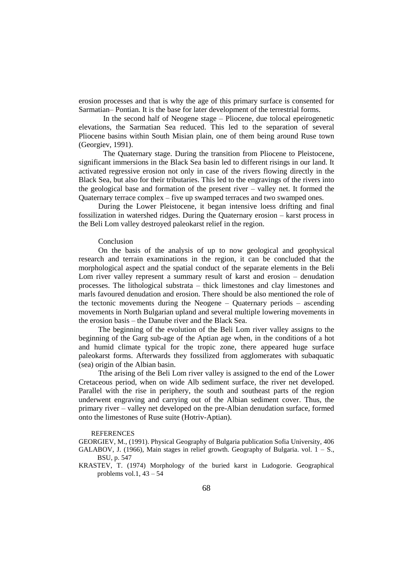erosion processes and that is why the age of this primary surface is consented for Sarmatian– Pontian. It is the base for later development of the terrestrial forms.

 In the second half of Neogene stage – Pliocene, due tolocal epeirogenetic elevations, the Sarmatian Sea reduced. This led to the separation of several Pliocene basins within South Misian plain, one of them being around Ruse town (Georgiev, 1991).

The Quaternary stage. During the transition from Pliocene to Pleistocene, significant immersions in the Black Sea basin led to different risings in our land. It activated regressive erosion not only in case of the rivers flowing directly in the Black Sea, but also for their tributaries. This led to the engravings of the rivers into the geological base and formation of the present river – valley net. It formed the Quaternary terrace complex – five up swamped terraces and two swamped ones.

During the Lower Pleistocene, it began intensive loess drifting and final fossilization in watershed ridges. During the Quaternary erosion – karst process in the Beli Lom valley destroyed paleokarst relief in the region.

### Conclusion

On the basis of the analysis of up to now geological and geophysical research and terrain examinations in the region, it can be concluded that the morphological aspect and the spatial conduct of the separate elements in the Beli Lom river valley represent a summary result of karst and erosion – denudation processes. The lithological substrata – thick limestones and clay limestones and marls favoured denudation and erosion. There should be also mentioned the role of the tectonic movements during the Neogene – Quaternary periods – ascending movements in North Bulgarian upland and several multiple lowering movements in the erosion basis – the Danube river and the Black Sea.

The beginning of the evolution of the Beli Lom river valley assigns to the beginning of the Garg sub-age of the Aptian age when, in the conditions of a hot and humid climate typical for the tropic zone, there appeared huge surface paleokarst forms. Afterwards they fossilized from agglomerates with subaquatic (sea) origin of the Albian basin.

Tthe arising of the Beli Lom river valley is assigned to the end of the Lower Cretaceous period, when on wide Alb sediment surface, the river net developed. Parallel with the rise in periphery, the south and southeast parts of the region underwent engraving and carrying out of the Albian sediment cover. Thus, the primary river – valley net developed on the pre-Albian denudation surface, formed onto the limestones of Ruse suite (Hotriv-Aptian).

#### REFERENCES

GEORGIEV, M., (1991). Physical Geography of Bulgaria publication Sofia University, 406 GALABOV, J. (1966), Main stages in relief growth. Geography of Bulgaria. vol.  $1 - S$ .,

KRASTEV, T. (1974) Morphology of the buried karst in Ludogorie. Geographical problems vol.1,  $43 - 54$ 

BSU, p. 547